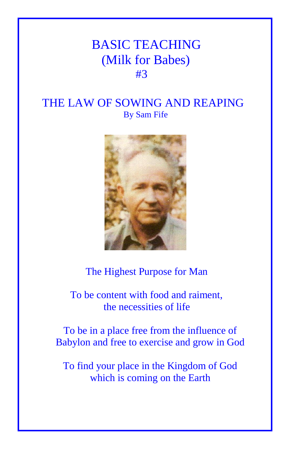## BASIC TEACHING (Milk for Babes) **#3**

## THE LAW OF SOWING AND REAPING By Sam Fife



The Highest Purpose for Man

 To be content with food and raiment, the necessities of life

To be in a place free from the influence of Babylon and free to exercise and grow in God

To find your place in the Kingdom of God which is coming on the Earth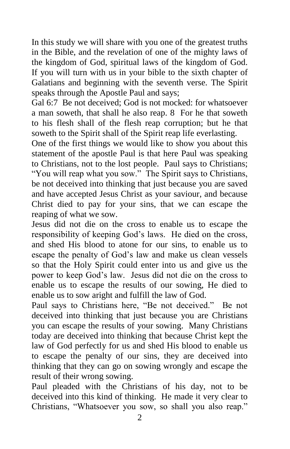In this study we will share with you one of the greatest truths in the Bible, and the revelation of one of the mighty laws of the kingdom of God, spiritual laws of the kingdom of God. If you will turn with us in your bible to the sixth chapter of Galatians and beginning with the seventh verse. The Spirit speaks through the Apostle Paul and says;

Gal 6:7 Be not deceived; God is not mocked: for whatsoever a man soweth, that shall he also reap. 8 For he that soweth to his flesh shall of the flesh reap corruption; but he that soweth to the Spirit shall of the Spirit reap life everlasting.

One of the first things we would like to show you about this statement of the apostle Paul is that here Paul was speaking to Christians, not to the lost people. Paul says to Christians; "You will reap what you sow." The Spirit says to Christians, be not deceived into thinking that just because you are saved and have accepted Jesus Christ as your saviour, and because Christ died to pay for your sins, that we can escape the reaping of what we sow.

Jesus did not die on the cross to enable us to escape the responsibility of keeping God's laws. He died on the cross, and shed His blood to atone for our sins, to enable us to escape the penalty of God's law and make us clean vessels so that the Holy Spirit could enter into us and give us the power to keep God's law. Jesus did not die on the cross to enable us to escape the results of our sowing, He died to enable us to sow aright and fulfill the law of God.

Paul says to Christians here, "Be not deceived." Be not deceived into thinking that just because you are Christians you can escape the results of your sowing. Many Christians today are deceived into thinking that because Christ kept the law of God perfectly for us and shed His blood to enable us to escape the penalty of our sins, they are deceived into thinking that they can go on sowing wrongly and escape the result of their wrong sowing.

Paul pleaded with the Christians of his day, not to be deceived into this kind of thinking. He made it very clear to Christians, "Whatsoever you sow, so shall you also reap."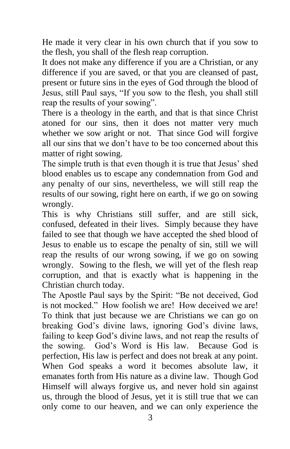He made it very clear in his own church that if you sow to the flesh, you shall of the flesh reap corruption.

It does not make any difference if you are a Christian, or any difference if you are saved, or that you are cleansed of past, present or future sins in the eyes of God through the blood of Jesus, still Paul says, "If you sow to the flesh, you shall still reap the results of your sowing".

There is a theology in the earth, and that is that since Christ atoned for our sins, then it does not matter very much whether we sow aright or not. That since God will forgive all our sins that we don't have to be too concerned about this matter of right sowing.

The simple truth is that even though it is true that Jesus' shed blood enables us to escape any condemnation from God and any penalty of our sins, nevertheless, we will still reap the results of our sowing, right here on earth, if we go on sowing wrongly.

This is why Christians still suffer, and are still sick, confused, defeated in their lives. Simply because they have failed to see that though we have accepted the shed blood of Jesus to enable us to escape the penalty of sin, still we will reap the results of our wrong sowing, if we go on sowing wrongly. Sowing to the flesh, we will yet of the flesh reap corruption, and that is exactly what is happening in the Christian church today.

The Apostle Paul says by the Spirit: "Be not deceived, God is not mocked." How foolish we are! How deceived we are! To think that just because we are Christians we can go on breaking God's divine laws, ignoring God's divine laws, failing to keep God's divine laws, and not reap the results of the sowing. God's Word is His law. Because God is perfection, His law is perfect and does not break at any point. When God speaks a word it becomes absolute law, it emanates forth from His nature as a divine law. Though God Himself will always forgive us, and never hold sin against us, through the blood of Jesus, yet it is still true that we can only come to our heaven, and we can only experience the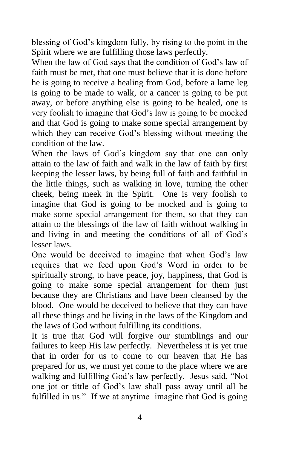blessing of God's kingdom fully, by rising to the point in the Spirit where we are fulfilling those laws perfectly.

When the law of God says that the condition of God's law of faith must be met, that one must believe that it is done before he is going to receive a healing from God, before a lame leg is going to be made to walk, or a cancer is going to be put away, or before anything else is going to be healed, one is very foolish to imagine that God's law is going to be mocked and that God is going to make some special arrangement by which they can receive God's blessing without meeting the condition of the law.

When the laws of God's kingdom say that one can only attain to the law of faith and walk in the law of faith by first keeping the lesser laws, by being full of faith and faithful in the little things, such as walking in love, turning the other cheek, being meek in the Spirit. One is very foolish to imagine that God is going to be mocked and is going to make some special arrangement for them, so that they can attain to the blessings of the law of faith without walking in and living in and meeting the conditions of all of God's lesser laws.

One would be deceived to imagine that when God's law requires that we feed upon God's Word in order to be spiritually strong, to have peace, joy, happiness, that God is going to make some special arrangement for them just because they are Christians and have been cleansed by the blood. One would be deceived to believe that they can have all these things and be living in the laws of the Kingdom and the laws of God without fulfilling its conditions.

It is true that God will forgive our stumblings and our failures to keep His law perfectly. Nevertheless it is yet true that in order for us to come to our heaven that He has prepared for us, we must yet come to the place where we are walking and fulfilling God's law perfectly. Jesus said, "Not one jot or tittle of God's law shall pass away until all be fulfilled in us." If we at anytime imagine that God is going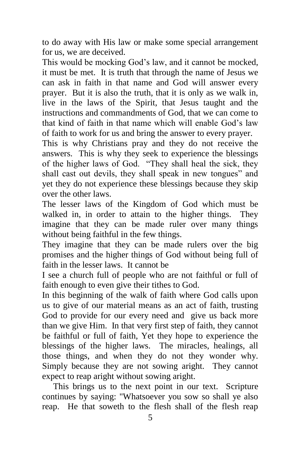to do away with His law or make some special arrangement for us, we are deceived.

This would be mocking God's law, and it cannot be mocked, it must be met. It is truth that through the name of Jesus we can ask in faith in that name and God will answer every prayer. But it is also the truth, that it is only as we walk in, live in the laws of the Spirit, that Jesus taught and the instructions and commandments of God, that we can come to that kind of faith in that name which will enable God's law of faith to work for us and bring the answer to every prayer.

This is why Christians pray and they do not receive the answers. This is why they seek to experience the blessings of the higher laws of God. "They shall heal the sick, they shall cast out devils, they shall speak in new tongues" and yet they do not experience these blessings because they skip over the other laws.

The lesser laws of the Kingdom of God which must be walked in, in order to attain to the higher things. They imagine that they can be made ruler over many things without being faithful in the few things.

They imagine that they can be made rulers over the big promises and the higher things of God without being full of faith in the lesser laws. It cannot be

I see a church full of people who are not faithful or full of faith enough to even give their tithes to God.

In this beginning of the walk of faith where God calls upon us to give of our material means as an act of faith, trusting God to provide for our every need and give us back more than we give Him. In that very first step of faith, they cannot be faithful or full of faith, Yet they hope to experience the blessings of the higher laws. The miracles, healings, all those things, and when they do not they wonder why. Simply because they are not sowing aright. They cannot expect to reap aright without sowing aright.

 This brings us to the next point in our text. Scripture continues by saying: "Whatsoever you sow so shall ye also reap. He that soweth to the flesh shall of the flesh reap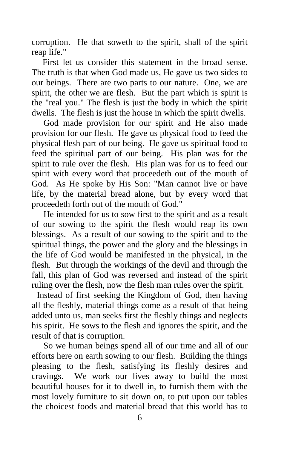corruption. He that soweth to the spirit, shall of the spirit reap life."

 First let us consider this statement in the broad sense. The truth is that when God made us, He gave us two sides to our beings. There are two parts to our nature. One, we are spirit, the other we are flesh. But the part which is spirit is the "real you." The flesh is just the body in which the spirit dwells. The flesh is just the house in which the spirit dwells.

 God made provision for our spirit and He also made provision for our flesh. He gave us physical food to feed the physical flesh part of our being. He gave us spiritual food to feed the spiritual part of our being. His plan was for the spirit to rule over the flesh. His plan was for us to feed our spirit with every word that proceedeth out of the mouth of God. As He spoke by His Son: "Man cannot live or have life, by the material bread alone, but by every word that proceedeth forth out of the mouth of God."

 He intended for us to sow first to the spirit and as a result of our sowing to the spirit the flesh would reap its own blessings. As a result of our sowing to the spirit and to the spiritual things, the power and the glory and the blessings in the life of God would be manifested in the physical, in the flesh. But through the workings of the devil and through the fall, this plan of God was reversed and instead of the spirit ruling over the flesh, now the flesh man rules over the spirit.

Instead of first seeking the Kingdom of God, then having all the fleshly, material things come as a result of that being added unto us, man seeks first the fleshly things and neglects his spirit. He sows to the flesh and ignores the spirit, and the result of that is corruption.

 So we human beings spend all of our time and all of our efforts here on earth sowing to our flesh. Building the things pleasing to the flesh, satisfying its fleshly desires and cravings. We work our lives away to build the most beautiful houses for it to dwell in, to furnish them with the most lovely furniture to sit down on, to put upon our tables the choicest foods and material bread that this world has to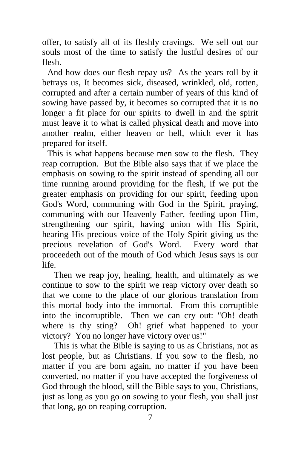offer, to satisfy all of its fleshly cravings. We sell out our souls most of the time to satisfy the lustful desires of our flesh.

And how does our flesh repay us? As the years roll by it betrays us, It becomes sick, diseased, wrinkled, old, rotten, corrupted and after a certain number of years of this kind of sowing have passed by, it becomes so corrupted that it is no longer a fit place for our spirits to dwell in and the spirit must leave it to what is called physical death and move into another realm, either heaven or hell, which ever it has prepared for itself.

This is what happens because men sow to the flesh. They reap corruption. But the Bible also says that if we place the emphasis on sowing to the spirit instead of spending all our time running around providing for the flesh, if we put the greater emphasis on providing for our spirit, feeding upon God's Word, communing with God in the Spirit, praying, communing with our Heavenly Father, feeding upon Him, strengthening our spirit, having union with His Spirit, hearing His precious voice of the Holy Spirit giving us the precious revelation of God's Word. Every word that proceedeth out of the mouth of God which Jesus says is our life.

 Then we reap joy, healing, health, and ultimately as we continue to sow to the spirit we reap victory over death so that we come to the place of our glorious translation from this mortal body into the immortal. From this corruptible into the incorruptible. Then we can cry out: "Oh! death where is thy sting? Oh! grief what happened to your victory? You no longer have victory over us!"

 This is what the Bible is saying to us as Christians, not as lost people, but as Christians. If you sow to the flesh, no matter if you are born again, no matter if you have been converted, no matter if you have accepted the forgiveness of God through the blood, still the Bible says to you, Christians, just as long as you go on sowing to your flesh, you shall just that long, go on reaping corruption.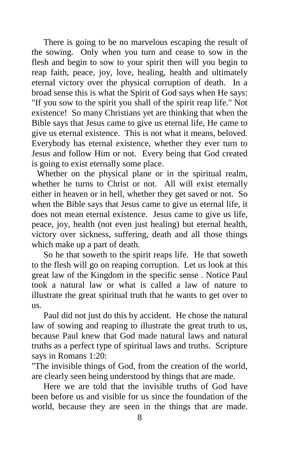There is going to be no marvelous escaping the result of the sowing. Only when you turn and cease to sow in the flesh and begin to sow to your spirit then will you begin to reap faith, peace, joy, love, healing, health and ultimately eternal victory over the physical corruption of death. In a broad sense this is what the Spirit of God says when He says: "If you sow to the spirit you shall of the spirit reap life." Not existence! So many Christians yet are thinking that when the Bible says that Jesus came to give us eternal life, He came to give us eternal existence. This is not what it means, beloved. Everybody has eternal existence, whether they ever turn to Jesus and follow Him or not. Every being that God created is going to exist eternally some place.

Whether on the physical plane or in the spiritual realm, whether he turns to Christ or not. All will exist eternally either in heaven or in hell, whether they get saved or not. So when the Bible says that Jesus came to give us eternal life, it does not mean eternal existence. Jesus came to give us life, peace, joy, health (not even just healing) but eternal health, victory over sickness, suffering, death and all those things which make up a part of death.

 So he that soweth to the spirit reaps life. He that soweth to the flesh will go on reaping corruption. Let us look at this great law of the Kingdom in the specific sense . Notice Paul took a natural law or what is called a law of nature to illustrate the great spiritual truth that he wants to get over to us.

 Paul did not just do this by accident. He chose the natural law of sowing and reaping to illustrate the great truth to us, because Paul knew that God made natural laws and natural truths as a perfect type of spiritual laws and truths. Scripture says in Romans 1:20:

"The invisible things of God, from the creation of the world, are clearly seen being understood by things that are made.

 Here we are told that the invisible truths of God have been before us and visible for us since the foundation of the world, because they are seen in the things that are made.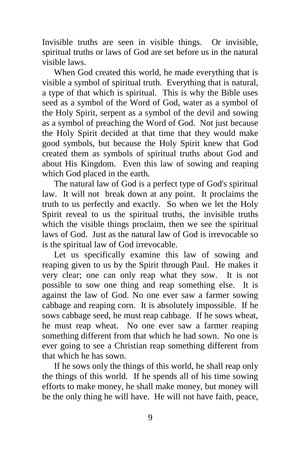Invisible truths are seen in visible things. Or invisible, spiritual truths or laws of God are set before us in the natural visible laws.

 When God created this world, he made everything that is visible a symbol of spiritual truth. Everything that is natural, a type of that which is spiritual. This is why the Bible uses seed as a symbol of the Word of God, water as a symbol of the Holy Spirit, serpent as a symbol of the devil and sowing as a symbol of preaching the Word of God. Not just because the Holy Spirit decided at that time that they would make good symbols, but because the Holy Spirit knew that God created them as symbols of spiritual truths about God and about His Kingdom. Even this law of sowing and reaping which God placed in the earth.

 The natural law of God is a perfect type of God's spiritual law. It will not break down at any point. It proclaims the truth to us perfectly and exactly. So when we let the Holy Spirit reveal to us the spiritual truths, the invisible truths which the visible things proclaim, then we see the spiritual laws of God. Just as the natural law of God is irrevocable so is the spiritual law of God irrevocable.

 Let us specifically examine this law of sowing and reaping given to us by the Spirit through Paul. He makes it very clear; one can only reap what they sow. It is not possible to sow one thing and reap something else. It is against the law of God. No one ever saw a farmer sowing cabbage and reaping corn. It is absolutely impossible. If he sows cabbage seed, he must reap cabbage. If he sows wheat, he must reap wheat. No one ever saw a farmer reaping something different from that which he had sown. No one is ever going to see a Christian reap something different from that which he has sown.

 If he sows only the things of this world, he shall reap only the things of this world. If he spends all of his time sowing efforts to make money, he shall make money, but money will be the only thing he will have. He will not have faith, peace,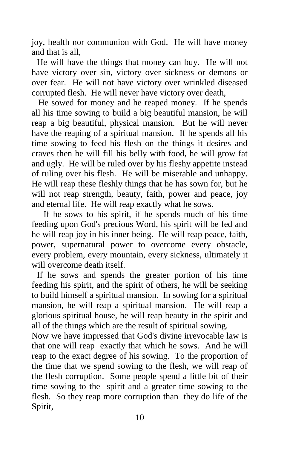joy, health nor communion with God. He will have money and that is all,

He will have the things that money can buy. He will not have victory over sin, victory over sickness or demons or over fear. He will not have victory over wrinkled diseased corrupted flesh. He will never have victory over death,

 He sowed for money and he reaped money. If he spends all his time sowing to build a big beautiful mansion, he will reap a big beautiful, physical mansion. But he will never have the reaping of a spiritual mansion. If he spends all his time sowing to feed his flesh on the things it desires and craves then he will fill his belly with food, he will grow fat and ugly. He will be ruled over by his fleshy appetite instead of ruling over his flesh. He will be miserable and unhappy. He will reap these fleshly things that he has sown for, but he will not reap strength, beauty, faith, power and peace, joy and eternal life. He will reap exactly what he sows.

 If he sows to his spirit, if he spends much of his time feeding upon God's precious Word, his spirit will be fed and he will reap joy in his inner being. He will reap peace, faith, power, supernatural power to overcome every obstacle, every problem, every mountain, every sickness, ultimately it will overcome death itself.

If he sows and spends the greater portion of his time feeding his spirit, and the spirit of others, he will be seeking to build himself a spiritual mansion. In sowing for a spiritual mansion, he will reap a spiritual mansion. He will reap a glorious spiritual house, he will reap beauty in the spirit and all of the things which are the result of spiritual sowing.

Now we have impressed that God's divine irrevocable law is that one will reap exactly that which he sows. And he will reap to the exact degree of his sowing. To the proportion of the time that we spend sowing to the flesh, we will reap of the flesh corruption. Some people spend a little bit of their time sowing to the spirit and a greater time sowing to the flesh. So they reap more corruption than they do life of the Spirit,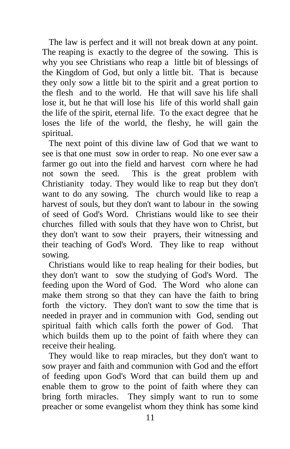The law is perfect and it will not break down at any point. The reaping is exactly to the degree of the sowing. This is why you see Christians who reap a little bit of blessings of the Kingdom of God, but only a little bit. That is because they only sow a little bit to the spirit and a great portion to the flesh and to the world. He that will save his life shall lose it, but he that will lose his life of this world shall gain the life of the spirit, eternal life. To the exact degree that he loses the life of the world, the fleshy, he will gain the spiritual.

 The next point of this divine law of God that we want to see is that one must sow in order to reap. No one ever saw a farmer go out into the field and harvest corn where he had not sown the seed. This is the great problem with Christianity today. They would like to reap but they don't want to do any sowing. The church would like to reap a harvest of souls, but they don't want to labour in the sowing of seed of God's Word. Christians would like to see their churches filled with souls that they have won to Christ, but they don't want to sow their prayers, their witnessing and their teaching of God's Word. They like to reap without sowing.

 Christians would like to reap healing for their bodies, but they don't want to sow the studying of God's Word. The feeding upon the Word of God. The Word who alone can make them strong so that they can have the faith to bring forth the victory. They don't want to sow the time that is needed in prayer and in communion with God, sending out spiritual faith which calls forth the power of God. That which builds them up to the point of faith where they can receive their healing.

 They would like to reap miracles, but they don't want to sow prayer and faith and communion with God and the effort of feeding upon God's Word that can build them up and enable them to grow to the point of faith where they can bring forth miracles. They simply want to run to some preacher or some evangelist whom they think has some kind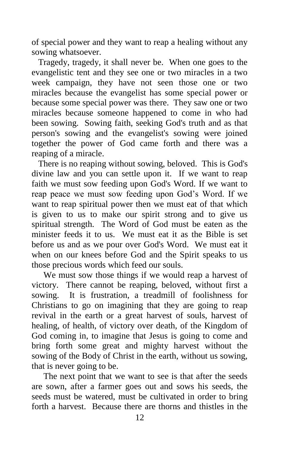of special power and they want to reap a healing without any sowing whatsoever.

 Tragedy, tragedy, it shall never be. When one goes to the evangelistic tent and they see one or two miracles in a two week campaign, they have not seen those one or two miracles because the evangelist has some special power or because some special power was there. They saw one or two miracles because someone happened to come in who had been sowing. Sowing faith, seeking God's truth and as that person's sowing and the evangelist's sowing were joined together the power of God came forth and there was a reaping of a miracle.

 There is no reaping without sowing, beloved. This is God's divine law and you can settle upon it. If we want to reap faith we must sow feeding upon God's Word. If we want to reap peace we must sow feeding upon God's Word. If we want to reap spiritual power then we must eat of that which is given to us to make our spirit strong and to give us spiritual strength. The Word of God must be eaten as the minister feeds it to us. We must eat it as the Bible is set before us and as we pour over God's Word. We must eat it when on our knees before God and the Spirit speaks to us those precious words which feed our souls.

 We must sow those things if we would reap a harvest of victory. There cannot be reaping, beloved, without first a sowing. It is frustration, a treadmill of foolishness for Christians to go on imagining that they are going to reap revival in the earth or a great harvest of souls, harvest of healing, of health, of victory over death, of the Kingdom of God coming in, to imagine that Jesus is going to come and bring forth some great and mighty harvest without the sowing of the Body of Christ in the earth, without us sowing, that is never going to be.

 The next point that we want to see is that after the seeds are sown, after a farmer goes out and sows his seeds, the seeds must be watered, must be cultivated in order to bring forth a harvest. Because there are thorns and thistles in the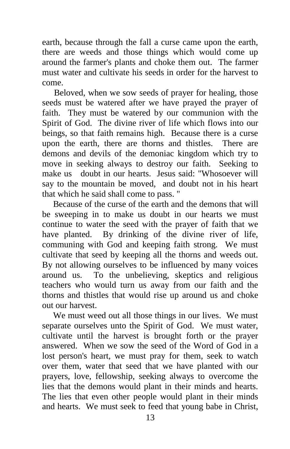earth, because through the fall a curse came upon the earth, there are weeds and those things which would come up around the farmer's plants and choke them out. The farmer must water and cultivate his seeds in order for the harvest to come.

 Beloved, when we sow seeds of prayer for healing, those seeds must be watered after we have prayed the prayer of faith. They must be watered by our communion with the Spirit of God. The divine river of life which flows into our beings, so that faith remains high. Because there is a curse upon the earth, there are thorns and thistles. There are demons and devils of the demoniac kingdom which try to move in seeking always to destroy our faith. Seeking to make us doubt in our hearts. Jesus said: "Whosoever will say to the mountain be moved, and doubt not in his heart that which he said shall come to pass. "

 Because of the curse of the earth and the demons that will be sweeping in to make us doubt in our hearts we must continue to water the seed with the prayer of faith that we have planted. By drinking of the divine river of life, communing with God and keeping faith strong. We must cultivate that seed by keeping all the thorns and weeds out. By not allowing ourselves to be influenced by many voices around us. To the unbelieving, skeptics and religious teachers who would turn us away from our faith and the thorns and thistles that would rise up around us and choke out our harvest.

 We must weed out all those things in our lives. We must separate ourselves unto the Spirit of God. We must water, cultivate until the harvest is brought forth or the prayer answered. When we sow the seed of the Word of God in a lost person's heart, we must pray for them, seek to watch over them, water that seed that we have planted with our prayers, love, fellowship, seeking always to overcome the lies that the demons would plant in their minds and hearts. The lies that even other people would plant in their minds and hearts. We must seek to feed that young babe in Christ,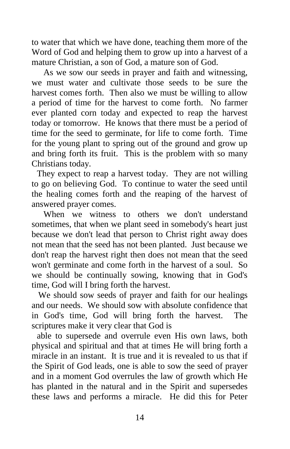to water that which we have done, teaching them more of the Word of God and helping them to grow up into a harvest of a mature Christian, a son of God, a mature son of God.

 As we sow our seeds in prayer and faith and witnessing, we must water and cultivate those seeds to be sure the harvest comes forth. Then also we must be willing to allow a period of time for the harvest to come forth. No farmer ever planted corn today and expected to reap the harvest today or tomorrow. He knows that there must be a period of time for the seed to germinate, for life to come forth. Time for the young plant to spring out of the ground and grow up and bring forth its fruit. This is the problem with so many Christians today.

They expect to reap a harvest today. They are not willing to go on believing God. To continue to water the seed until the healing comes forth and the reaping of the harvest of answered prayer comes.

When we witness to others we don't understand sometimes, that when we plant seed in somebody's heart just because we don't lead that person to Christ right away does not mean that the seed has not been planted. Just because we don't reap the harvest right then does not mean that the seed won't germinate and come forth in the harvest of a soul. So we should be continually sowing, knowing that in God's time, God will I bring forth the harvest.

 We should sow seeds of prayer and faith for our healings and our needs. We should sow with absolute confidence that in God's time, God will bring forth the harvest. The scriptures make it very clear that God is

able to supersede and overrule even His own laws, both physical and spiritual and that at times He will bring forth a miracle in an instant. It is true and it is revealed to us that if the Spirit of God leads, one is able to sow the seed of prayer and in a moment God overrules the law of growth which He has planted in the natural and in the Spirit and supersedes these laws and performs a miracle. He did this for Peter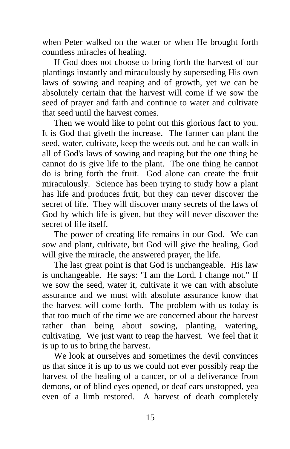when Peter walked on the water or when He brought forth countless miracles of healing.

 If God does not choose to bring forth the harvest of our plantings instantly and miraculously by superseding His own laws of sowing and reaping and of growth, yet we can be absolutely certain that the harvest will come if we sow the seed of prayer and faith and continue to water and cultivate that seed until the harvest comes.

 Then we would like to point out this glorious fact to you. It is God that giveth the increase. The farmer can plant the seed, water, cultivate, keep the weeds out, and he can walk in all of God's laws of sowing and reaping but the one thing he cannot do is give life to the plant. The one thing he cannot do is bring forth the fruit. God alone can create the fruit miraculously. Science has been trying to study how a plant has life and produces fruit, but they can never discover the secret of life. They will discover many secrets of the laws of God by which life is given, but they will never discover the secret of life itself.

 The power of creating life remains in our God. We can sow and plant, cultivate, but God will give the healing, God will give the miracle, the answered prayer, the life.

 The last great point is that God is unchangeable. His law is unchangeable. He says: "I am the Lord, I change not." If we sow the seed, water it, cultivate it we can with absolute assurance and we must with absolute assurance know that the harvest will come forth. The problem with us today is that too much of the time we are concerned about the harvest rather than being about sowing, planting, watering, cultivating. We just want to reap the harvest. We feel that it is up to us to bring the harvest.

 We look at ourselves and sometimes the devil convinces us that since it is up to us we could not ever possibly reap the harvest of the healing of a cancer, or of a deliverance from demons, or of blind eyes opened, or deaf ears unstopped, yea even of a limb restored. A harvest of death completely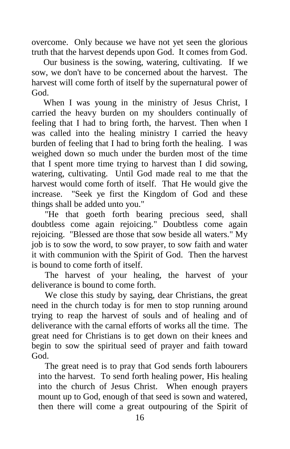overcome. Only because we have not yet seen the glorious truth that the harvest depends upon God. It comes from God.

 Our business is the sowing, watering, cultivating. If we sow, we don't have to be concerned about the harvest. The harvest will come forth of itself by the supernatural power of God.

 When I was young in the ministry of Jesus Christ, I carried the heavy burden on my shoulders continually of feeling that I had to bring forth, the harvest. Then when I was called into the healing ministry I carried the heavy burden of feeling that I had to bring forth the healing. I was weighed down so much under the burden most of the time that I spent more time trying to harvest than I did sowing, watering, cultivating. Until God made real to me that the harvest would come forth of itself. That He would give the increase. "Seek ye first the Kingdom of God and these things shall be added unto you."

 "He that goeth forth bearing precious seed, shall doubtless come again rejoicing." Doubtless come again rejoicing. "Blessed are those that sow beside all waters." My job is to sow the word, to sow prayer, to sow faith and water it with communion with the Spirit of God. Then the harvest is bound to come forth of itself.

 The harvest of your healing, the harvest of your deliverance is bound to come forth.

 We close this study by saying, dear Christians, the great need in the church today is for men to stop running around trying to reap the harvest of souls and of healing and of deliverance with the carnal efforts of works all the time. The great need for Christians is to get down on their knees and begin to sow the spiritual seed of prayer and faith toward God.

 The great need is to pray that God sends forth labourers into the harvest. To send forth healing power, His healing into the church of Jesus Christ. When enough prayers mount up to God, enough of that seed is sown and watered, then there will come a great outpouring of the Spirit of